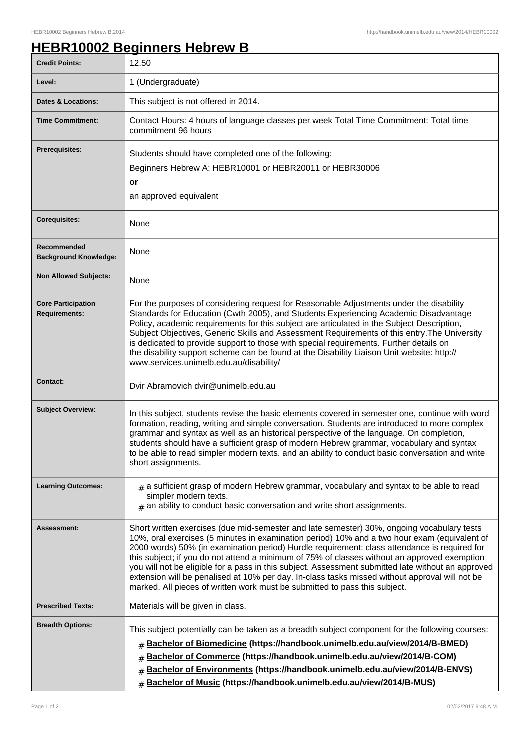## **HEBR10002 Beginners Hebrew B**

| <b>Credit Points:</b>                             | 12.50                                                                                                                                                                                                                                                                                                                                                                                                                                                                                                                                                                                                                                                                            |
|---------------------------------------------------|----------------------------------------------------------------------------------------------------------------------------------------------------------------------------------------------------------------------------------------------------------------------------------------------------------------------------------------------------------------------------------------------------------------------------------------------------------------------------------------------------------------------------------------------------------------------------------------------------------------------------------------------------------------------------------|
| Level:                                            | 1 (Undergraduate)                                                                                                                                                                                                                                                                                                                                                                                                                                                                                                                                                                                                                                                                |
| <b>Dates &amp; Locations:</b>                     | This subject is not offered in 2014.                                                                                                                                                                                                                                                                                                                                                                                                                                                                                                                                                                                                                                             |
| <b>Time Commitment:</b>                           | Contact Hours: 4 hours of language classes per week Total Time Commitment: Total time<br>commitment 96 hours                                                                                                                                                                                                                                                                                                                                                                                                                                                                                                                                                                     |
| <b>Prerequisites:</b>                             | Students should have completed one of the following:<br>Beginners Hebrew A: HEBR10001 or HEBR20011 or HEBR30006<br>or<br>an approved equivalent                                                                                                                                                                                                                                                                                                                                                                                                                                                                                                                                  |
| <b>Corequisites:</b>                              | None                                                                                                                                                                                                                                                                                                                                                                                                                                                                                                                                                                                                                                                                             |
| Recommended<br><b>Background Knowledge:</b>       | None                                                                                                                                                                                                                                                                                                                                                                                                                                                                                                                                                                                                                                                                             |
| <b>Non Allowed Subjects:</b>                      | None                                                                                                                                                                                                                                                                                                                                                                                                                                                                                                                                                                                                                                                                             |
| <b>Core Participation</b><br><b>Requirements:</b> | For the purposes of considering request for Reasonable Adjustments under the disability<br>Standards for Education (Cwth 2005), and Students Experiencing Academic Disadvantage<br>Policy, academic requirements for this subject are articulated in the Subject Description,<br>Subject Objectives, Generic Skills and Assessment Requirements of this entry. The University<br>is dedicated to provide support to those with special requirements. Further details on<br>the disability support scheme can be found at the Disability Liaison Unit website: http://<br>www.services.unimelb.edu.au/disability/                                                                 |
| <b>Contact:</b>                                   | Dvir Abramovich dvir@unimelb.edu.au                                                                                                                                                                                                                                                                                                                                                                                                                                                                                                                                                                                                                                              |
| <b>Subject Overview:</b>                          | In this subject, students revise the basic elements covered in semester one, continue with word<br>formation, reading, writing and simple conversation. Students are introduced to more complex<br>grammar and syntax as well as an historical perspective of the language. On completion,<br>students should have a sufficient grasp of modern Hebrew grammar, vocabulary and syntax<br>to be able to read simpler modern texts. and an ability to conduct basic conversation and write<br>short assignments.                                                                                                                                                                   |
| <b>Learning Outcomes:</b>                         | $_{\#}$ a sufficient grasp of modern Hebrew grammar, vocabulary and syntax to be able to read<br>simpler modern texts.<br>$#$ an ability to conduct basic conversation and write short assignments.                                                                                                                                                                                                                                                                                                                                                                                                                                                                              |
| Assessment:                                       | Short written exercises (due mid-semester and late semester) 30%, ongoing vocabulary tests<br>10%, oral exercises (5 minutes in examination period) 10% and a two hour exam (equivalent of<br>2000 words) 50% (in examination period) Hurdle requirement: class attendance is required for<br>this subject; if you do not attend a minimum of 75% of classes without an approved exemption<br>you will not be eligible for a pass in this subject. Assessment submitted late without an approved<br>extension will be penalised at 10% per day. In-class tasks missed without approval will not be<br>marked. All pieces of written work must be submitted to pass this subject. |
| <b>Prescribed Texts:</b>                          | Materials will be given in class.                                                                                                                                                                                                                                                                                                                                                                                                                                                                                                                                                                                                                                                |
| <b>Breadth Options:</b>                           | This subject potentially can be taken as a breadth subject component for the following courses:<br>Bachelor of Biomedicine (https://handbook.unimelb.edu.au/view/2014/B-BMED)<br>#<br>Bachelor of Commerce (https://handbook.unimelb.edu.au/view/2014/B-COM)<br>#<br>Bachelor of Environments (https://handbook.unimelb.edu.au/view/2014/B-ENVS)<br>#<br>Bachelor of Music (https://handbook.unimelb.edu.au/view/2014/B-MUS)<br>#                                                                                                                                                                                                                                                |